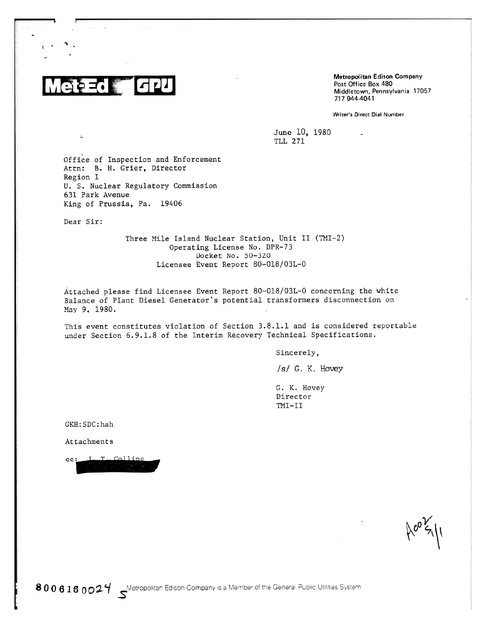$\vert$   $\vert$   $\vert$   $\vert$   $\vert$   $\vert$   $\vert$ おさい腰

Metropolitan Edison Company Post Office Box 480 Middletown, Pennsylvania 17057 717 944-4041

Writer's Direct Dial Number

June 10, 1980 TLL 271

Office of Inspection and Enforcement Attn: B. H. Grier, Director Region I U. S. Nuclear Regulatory Commission 631 Park Avenue King of Prussia, Pa. 19406

Dear Sir:

Three Mile Island Nuclear Station, Unit II (TMI-2) Operating License No. DPR-73 Docket No. 50-320 Licensee Event Report 80-018/03L-0

Attached please find Licensee Event Report 80-018/03L-0 concerning the white Balance of Plant Diesel Generator's potential transformers disconnection on May 9, 1980.

This event constitutes violation of Section 3.8.1.1 and is considered reportable under Section 6.9.1.8 of the Interim Recovery Technical Specifications.

Sincerely,

/s/ G. K. Hovey

G. K. Hovey Director TMI—II

GKH: SDC: hah

Attachments

Colline  $T$ . cc: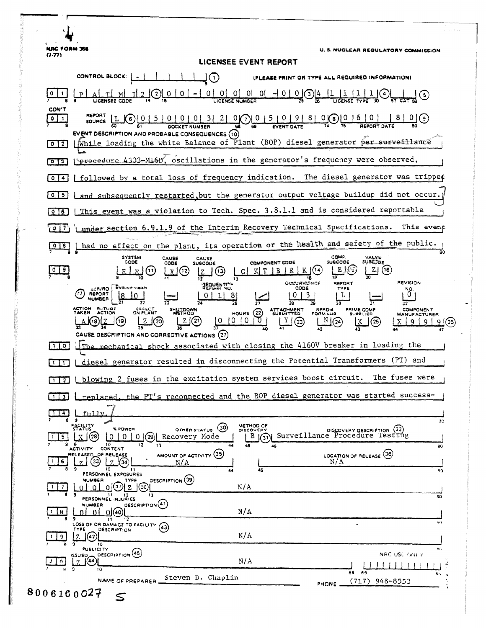**NAC FORM 366 U.S. NUCLEAR REGULATORY COMMISSION**  $(7.77)$ LICENSEE EVENT REPORT CONTROL BLOCK:  $-1$   $-1$   $-1$ ∟ٍ⊡ (PLEASE PRINT OR TYPE ALL REQUIRED INFORMATION)  $\underbrace{0 [ 0] 0 [ 0] 0 ] - 1 0 [ 0] \frac{4}{25} \frac{11 [1 [1] [3] }{10 \frac{1}{27}} \frac{1}{27} \frac{1}{27} \frac{1}{27} \frac{1}{27} \frac{1}{27} \frac{1}{27} \frac{1}{27} \frac{1}{27} \frac{1}{27} \frac{1}{27} \frac{1}{27} \frac{1}{27} \frac{1}{27} \frac{1}{27} \frac{1}{27} \frac{1}{27} \frac{1}{27} \frac{1}{27} \frac{1}{27} \frac{1}{27}$  $0$  | 1 6) يو CON'T  $0.015101918100016101$  $0$   $1$  $\frac{1810}{15}$ SOURCE  $[L \bigodot [0 1 5 0 0 0 0 3]$  $2|$ **DOCKET NUMBER** EVENT DESCRIPTION AND PROBABLE CONSEQUENCES (10) [While loading the white Balance of Plant (BOP) diesel generator per surveillance  $\boxed{0}$   $\boxed{2}$ [0][3] [Procedure 4303-M16B, oscillations in the generator's frequency were observed, followed by a total loss of frequency indication. The diesel generator was tripped  $\sqrt{0}$   $\sqrt{4}$  $\sqrt{0}$  5 and subsequently restarted, but the generator output voltage buildup did not occur. This event was a violation to Tech. Spec. 3.8.1.1 and is considered reportable  $\sqrt{0}$ under section 6.9.1.9 of the Interim Recovery Technical Specifications. This event  $(917)$ I had no effect on the plant, its operation or the health and safety of the public.  $018$ SYSTEM<br>CODE COMP<br>SUBCODE CAUSE<br>CODE VALVE<br>SUBCODE CAUSE<br>SUBCODE COMPONENT CODE  $LE(05)$  $L2(G)$  $\boxed{0}$   $\boxed{9}$  $E(0)$  $x(3)$  $CI$  K  $T$   $B$   $R$   $K$   $(04)$ 200 L 78 **OCKORROWCE** REVISION **REPORT AEQUENTIAL** D REPORT  $\begin{bmatrix} 0 \\ 0 \end{bmatrix}$  $10$  $0 | 1 | 8$  $|0|3|$ 亓  $\overline{27}$  $28$  $\overline{17}$ NPRD-4 COMPONENT<br>MANUFACTURER ATTACHMENT<br>SUBMITTED **PRIME COMP.**<br>SUPPLIER **ACTION FUTURE**<br>TAKEN ACTION **SHUTDOWN** CEFFECT  $mows (22)$  $1010$  $\mathbb{L}(\mathbb{Z})$  $N(24)$ LZ(21)  $\sigma$  $X | 9 | 9 |$ <u>(ره)(</u> J(20) ∫(25  $9(26)$ CAUSE DESCRIPTION AND CORRECTIVE ACTIONS (27) shock associated with closing the 4160V breaker in loading the  $\Box$   $\Box$   $\Box$   $\Box$ mechanical [1] L diesel generator resulted in disconnecting the Potential Transformers (PT) and [1] [blowing 2 fuses in the excitation system services boost circuit. The fuses were the PT's reconnected and the BOP diesel generator was started success- $\Box$   $\Box$ replaced.  $\Box$   $\Box$  $f<sub>n</sub>11v$ зо FACILITY METHOD OF OTHER STATUS 30 DISCOVERY DESCRIPTION (32)<br>Surveillance Procedure Testing % POWER  $L^B(\mathfrak{Y})$  $0 | 0 | 0 |$  (29) Recovery Mode  $\mathbf{1}$  5  $\mathbf{X}$  (28) 12 9 10<br>ACTIVITY CONTENT 80 LOCATION OF RELEASE (36) OF RELEASE AMOUNT OF ACTIVITY (35)  $16220$  $N/A$  $N/A$ PERSONNEL EXPOSURES  $\overline{a}$ **DESCRIPTION** (39) **NUMBER** TYPE <u>ol ol ol</u>③) z J  $\vert \cdot \vert$  $N/A$ 11 12<br>PERSONNEL INJURIES  $\overline{30}$ DESCRIPTION(41) **NUMBER**  $\frac{1}{16}$  8 <u>ol ol o</u>kol  $N/A$ 9<br>LOSS OF OR DAMAGE TO FACILITY (43) 40 **DESCRIPTION**  $N/A$  $1 \mid 9 \mid$  $Z(\Omega)$ ۱ō **PUBLICITY** DESCRIPTION (45)  $\mathbb{Z}^{155 \cup 50}$ NAC USE ONLY  $20$  $N/A$  $5^{6}$  $\overline{68}$ Steven D. Chaplin NAME OF PREPARER  $(717)$  948-8553 **PHONE** 8006160027  $\leq$